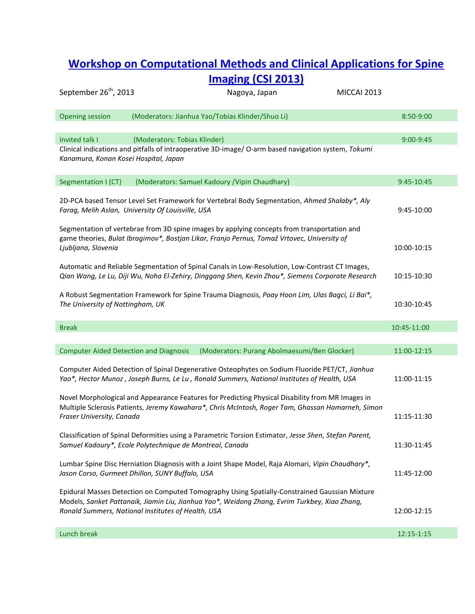## **[Workshop on Computational Methods and Clinical Applications for Spine](http://dig.lhsc.on.ca/members/Shuo/spine/MICCAIWorkshop.html)  [Imaging](http://dig.lhsc.on.ca/members/Shuo/spine/MICCAIWorkshop.html) (CSI 2013)**

| September 26 <sup>th</sup> , 2013                       |                                                          | Nagoya, Japan                                                                                                                                                                                         | MICCAI 2013 |             |
|---------------------------------------------------------|----------------------------------------------------------|-------------------------------------------------------------------------------------------------------------------------------------------------------------------------------------------------------|-------------|-------------|
| <b>Opening session</b>                                  | (Moderators: Jianhua Yao/Tobias Klinder/Shuo Li)         |                                                                                                                                                                                                       |             | 8:50-9:00   |
| Invited talk I<br>Kanamura, Konan Kosei Hospital, Japan | (Moderators: Tobias Klinder)                             | Clinical indications and pitfalls of intraoperative 3D-image/O-arm based navigation system, Tokumi                                                                                                    |             | 9:00-9:45   |
| Segmentation I (CT)                                     |                                                          | (Moderators: Samuel Kadoury / Vipin Chaudhary)                                                                                                                                                        |             | 9:45-10:45  |
|                                                         | Farag, Melih Aslan, University Of Louisville, USA        | 2D-PCA based Tensor Level Set Framework for Vertebral Body Segmentation, Ahmed Shalaby*, Aly                                                                                                          |             | 9:45-10:00  |
| Ljubljana, Slovenia                                     |                                                          | Segmentation of vertebrae from 3D spine images by applying concepts from transportation and<br>game theories, Bulat Ibragimov*, Bostjan Likar, Franjo Pernus, Tomaž Vrtovec, University of            |             | 10:00-10:15 |
|                                                         |                                                          | Automatic and Reliable Segmentation of Spinal Canals in Low-Resolution, Low-Contrast CT Images,<br>Qian Wang, Le Lu, Diji Wu, Noha El-Zehiry, Dinggang Shen, Kevin Zhou*, Siemens Corporate Research  |             | 10:15-10:30 |
| The University of Nottingham, UK                        |                                                          | A Robust Segmentation Framework for Spine Trauma Diagnosis, Poay Hoon Lim, Ulas Bagci, Li Bai*,                                                                                                       |             | 10:30-10:45 |
| <b>Break</b>                                            |                                                          |                                                                                                                                                                                                       |             | 10:45-11:00 |
|                                                         |                                                          |                                                                                                                                                                                                       |             |             |
| <b>Computer Aided Detection and Diagnosis</b>           |                                                          | (Moderators: Purang Abolmaesumi/Ben Glocker)                                                                                                                                                          |             | 11:00-12:15 |
|                                                         |                                                          | Computer Aided Detection of Spinal Degenerative Osteophytes on Sodium Fluoride PET/CT, Jianhua<br>Yao*, Hector Munoz, Joseph Burns, Le Lu, Ronald Summers, National Institutes of Health, USA         |             | 11:00-11:15 |
| Fraser University, Canada                               |                                                          | Novel Morphological and Appearance Features for Predicting Physical Disability from MR Images in<br>Multiple Sclerosis Patients, Jeremy Kawahara*, Chris McIntosh, Roger Tam, Ghassan Hamarneh, Simon |             | 11:15-11:30 |
|                                                         | Samuel Kadoury*, Ecole Polytechnique de Montreal, Canada | Classification of Spinal Deformities using a Parametric Torsion Estimator, Jesse Shen, Stefan Parent,                                                                                                 |             | 11:30-11:45 |
|                                                         | Jason Corso, Gurmeet Dhillon, SUNY Buffalo, USA          | Lumbar Spine Disc Herniation Diagnosis with a Joint Shape Model, Raja Alomari, Vipin Chaudhary*,                                                                                                      |             | 11:45-12:00 |
|                                                         | Ronald Summers, National Institutes of Health, USA       | Epidural Masses Detection on Computed Tomography Using Spatially-Constrained Gaussian Mixture<br>Models, Sanket Pattanaik, Jiamin Liu, Jianhua Yao*, Weidong Zhang, Evrim Turkbey, Xiao Zhang,        |             | 12:00-12:15 |
| Lunch break                                             |                                                          |                                                                                                                                                                                                       |             | 12:15-1:15  |